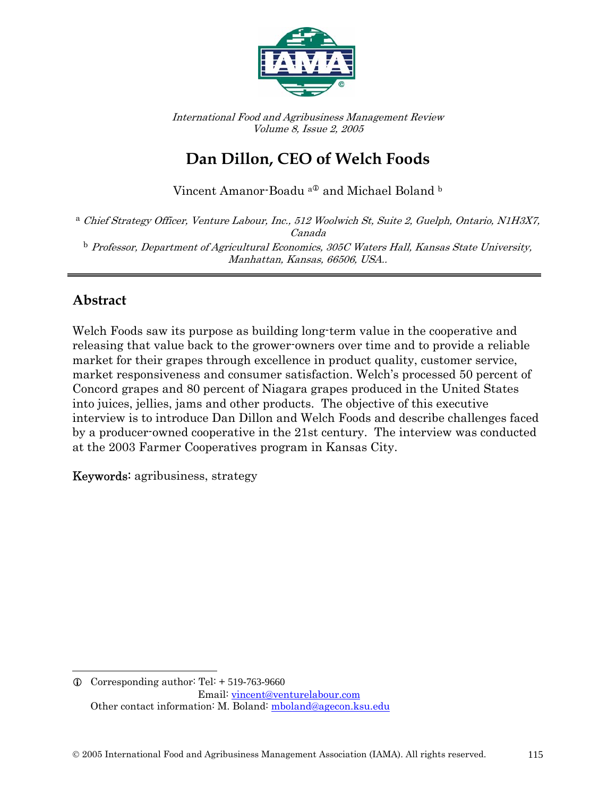

International Food and Agribusiness Management Review Volume 8, Issue 2, 2005

# **Dan Dillon, CEO of Welch Foods**

Vincent Amanor-Boadu $^{\mathrm{a}\tiny\mathbb{O}}$  and Michael Boland  $^{\mathrm{b}}$ 

a Chief Strategy Officer, Venture Labour, Inc., 512 Woolwich St, Suite 2, Guelph, Ontario, N1H3X7, Canada  $^{\rm b}$  Professor, Department of Agricultural Economics, 305C Waters Hall, Kansas State University, Manhattan, Kansas, 66506, USA..

### **Abstract**

 $\overline{a}$ 

Welch Foods saw its purpose as building long-term value in the cooperative and releasing that value back to the grower-owners over time and to provide a reliable market for their grapes through excellence in product quality, customer service, market responsiveness and consumer satisfaction. Welch's processed 50 percent of Concord grapes and 80 percent of Niagara grapes produced in the United States into juices, jellies, jams and other products. The objective of this executive interview is to introduce Dan Dillon and Welch Foods and describe challenges faced by a producer-owned cooperative in the 21st century. The interview was conducted at the 2003 Farmer Cooperatives program in Kansas City.

Keywords: agribusiness, strategy

 $Q$  Corresponding author: Tel:  $+ 519-763-9660$  Email: vincent@venturelabour.com Other contact information: M. Boland: mboland@agecon.ksu.edu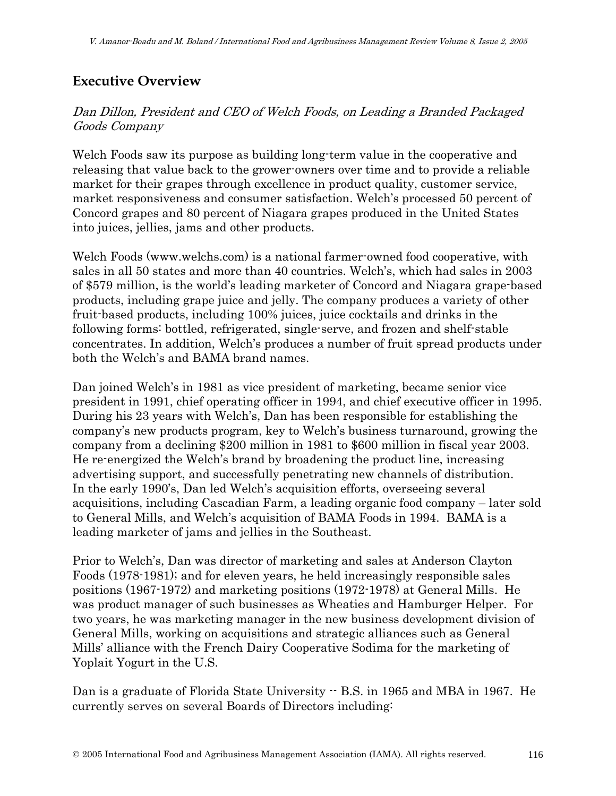## **Executive Overview**

#### Dan Dillon, President and CEO of Welch Foods, on Leading a Branded Packaged Goods Company

Welch Foods saw its purpose as building long-term value in the cooperative and releasing that value back to the grower-owners over time and to provide a reliable market for their grapes through excellence in product quality, customer service, market responsiveness and consumer satisfaction. Welch's processed 50 percent of Concord grapes and 80 percent of Niagara grapes produced in the United States into juices, jellies, jams and other products.

Welch Foods (www.welchs.com) is a national farmer-owned food cooperative, with sales in all 50 states and more than 40 countries. Welch's, which had sales in 2003 of \$579 million, is the world's leading marketer of Concord and Niagara grape-based products, including grape juice and jelly. The company produces a variety of other fruit-based products, including 100% juices, juice cocktails and drinks in the following forms: bottled, refrigerated, single-serve, and frozen and shelf-stable concentrates. In addition, Welch's produces a number of fruit spread products under both the Welch's and BAMA brand names.

Dan joined Welch's in 1981 as vice president of marketing, became senior vice president in 1991, chief operating officer in 1994, and chief executive officer in 1995. During his 23 years with Welch's, Dan has been responsible for establishing the company's new products program, key to Welch's business turnaround, growing the company from a declining \$200 million in 1981 to \$600 million in fiscal year 2003. He re-energized the Welch's brand by broadening the product line, increasing advertising support, and successfully penetrating new channels of distribution. In the early 1990's, Dan led Welch's acquisition efforts, overseeing several acquisitions, including Cascadian Farm, a leading organic food company – later sold to General Mills, and Welch's acquisition of BAMA Foods in 1994. BAMA is a leading marketer of jams and jellies in the Southeast.

Prior to Welch's, Dan was director of marketing and sales at Anderson Clayton Foods (1978-1981); and for eleven years, he held increasingly responsible sales positions (1967-1972) and marketing positions (1972-1978) at General Mills. He was product manager of such businesses as Wheaties and Hamburger Helper. For two years, he was marketing manager in the new business development division of General Mills, working on acquisitions and strategic alliances such as General Mills' alliance with the French Dairy Cooperative Sodima for the marketing of Yoplait Yogurt in the U.S.

Dan is a graduate of Florida State University  $-$  B.S. in 1965 and MBA in 1967. He currently serves on several Boards of Directors including: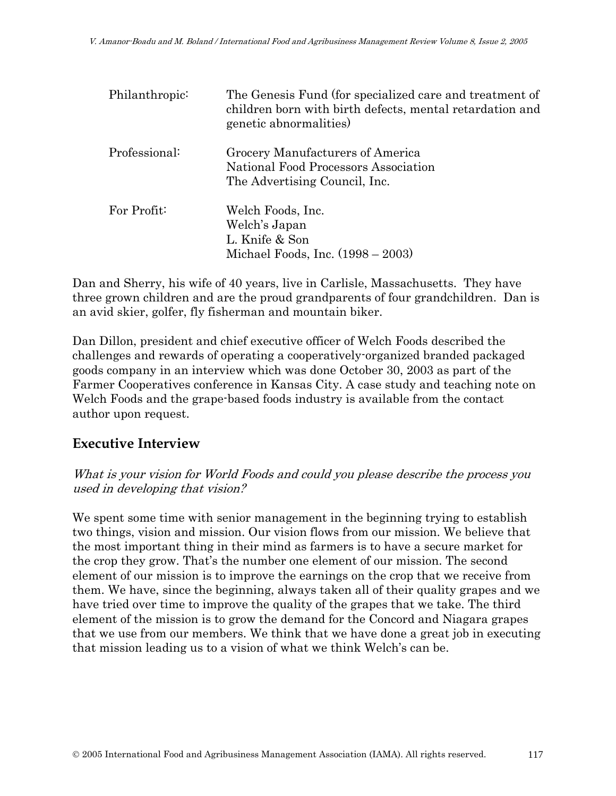| Philanthropic: | The Genesis Fund (for specialized care and treatment of<br>children born with birth defects, mental retardation and<br>genetic abnormalities) |
|----------------|-----------------------------------------------------------------------------------------------------------------------------------------------|
| Professional:  | Grocery Manufacturers of America<br>National Food Processors Association<br>The Advertising Council, Inc.                                     |
| For Profit:    | Welch Foods, Inc.<br>Welch's Japan<br>L. Knife & Son<br>Michael Foods, Inc. $(1998 - 2003)$                                                   |

Dan and Sherry, his wife of 40 years, live in Carlisle, Massachusetts. They have three grown children and are the proud grandparents of four grandchildren. Dan is an avid skier, golfer, fly fisherman and mountain biker.

Dan Dillon, president and chief executive officer of Welch Foods described the challenges and rewards of operating a cooperatively-organized branded packaged goods company in an interview which was done October 30, 2003 as part of the Farmer Cooperatives conference in Kansas City. A case study and teaching note on Welch Foods and the grape-based foods industry is available from the contact author upon request.

### **Executive Interview**

What is your vision for World Foods and could you please describe the process you used in developing that vision?

We spent some time with senior management in the beginning trying to establish two things, vision and mission. Our vision flows from our mission. We believe that the most important thing in their mind as farmers is to have a secure market for the crop they grow. That's the number one element of our mission. The second element of our mission is to improve the earnings on the crop that we receive from them. We have, since the beginning, always taken all of their quality grapes and we have tried over time to improve the quality of the grapes that we take. The third element of the mission is to grow the demand for the Concord and Niagara grapes that we use from our members. We think that we have done a great job in executing that mission leading us to a vision of what we think Welch's can be.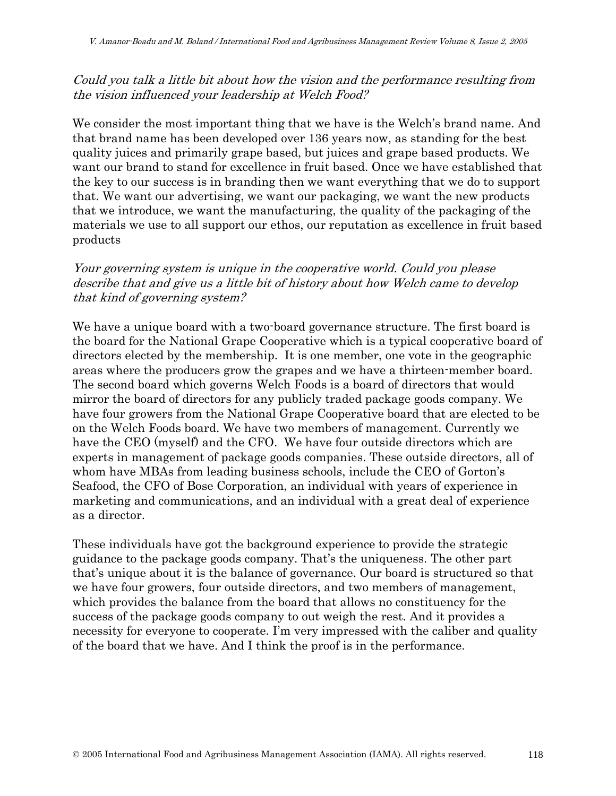#### Could you talk a little bit about how the vision and the performance resulting from the vision influenced your leadership at Welch Food?

We consider the most important thing that we have is the Welch's brand name. And that brand name has been developed over 136 years now, as standing for the best quality juices and primarily grape based, but juices and grape based products. We want our brand to stand for excellence in fruit based. Once we have established that the key to our success is in branding then we want everything that we do to support that. We want our advertising, we want our packaging, we want the new products that we introduce, we want the manufacturing, the quality of the packaging of the materials we use to all support our ethos, our reputation as excellence in fruit based products

#### Your governing system is unique in the cooperative world. Could you please describe that and give us a little bit of history about how Welch came to develop that kind of governing system?

We have a unique board with a two-board governance structure. The first board is the board for the National Grape Cooperative which is a typical cooperative board of directors elected by the membership. It is one member, one vote in the geographic areas where the producers grow the grapes and we have a thirteen-member board. The second board which governs Welch Foods is a board of directors that would mirror the board of directors for any publicly traded package goods company. We have four growers from the National Grape Cooperative board that are elected to be on the Welch Foods board. We have two members of management. Currently we have the CEO (myself) and the CFO. We have four outside directors which are experts in management of package goods companies. These outside directors, all of whom have MBAs from leading business schools, include the CEO of Gorton's Seafood, the CFO of Bose Corporation, an individual with years of experience in marketing and communications, and an individual with a great deal of experience as a director.

These individuals have got the background experience to provide the strategic guidance to the package goods company. That's the uniqueness. The other part that's unique about it is the balance of governance. Our board is structured so that we have four growers, four outside directors, and two members of management, which provides the balance from the board that allows no constituency for the success of the package goods company to out weigh the rest. And it provides a necessity for everyone to cooperate. I'm very impressed with the caliber and quality of the board that we have. And I think the proof is in the performance.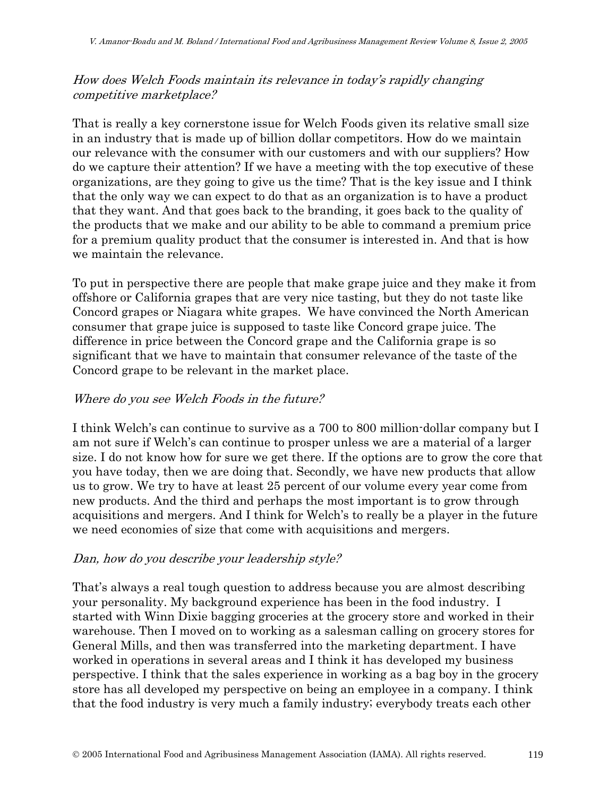#### How does Welch Foods maintain its relevance in today's rapidly changing competitive marketplace?

That is really a key cornerstone issue for Welch Foods given its relative small size in an industry that is made up of billion dollar competitors. How do we maintain our relevance with the consumer with our customers and with our suppliers? How do we capture their attention? If we have a meeting with the top executive of these organizations, are they going to give us the time? That is the key issue and I think that the only way we can expect to do that as an organization is to have a product that they want. And that goes back to the branding, it goes back to the quality of the products that we make and our ability to be able to command a premium price for a premium quality product that the consumer is interested in. And that is how we maintain the relevance.

To put in perspective there are people that make grape juice and they make it from offshore or California grapes that are very nice tasting, but they do not taste like Concord grapes or Niagara white grapes. We have convinced the North American consumer that grape juice is supposed to taste like Concord grape juice. The difference in price between the Concord grape and the California grape is so significant that we have to maintain that consumer relevance of the taste of the Concord grape to be relevant in the market place.

#### Where do you see Welch Foods in the future?

I think Welch's can continue to survive as a 700 to 800 million-dollar company but I am not sure if Welch's can continue to prosper unless we are a material of a larger size. I do not know how for sure we get there. If the options are to grow the core that you have today, then we are doing that. Secondly, we have new products that allow us to grow. We try to have at least 25 percent of our volume every year come from new products. And the third and perhaps the most important is to grow through acquisitions and mergers. And I think for Welch's to really be a player in the future we need economies of size that come with acquisitions and mergers.

#### Dan, how do you describe your leadership style?

That's always a real tough question to address because you are almost describing your personality. My background experience has been in the food industry. I started with Winn Dixie bagging groceries at the grocery store and worked in their warehouse. Then I moved on to working as a salesman calling on grocery stores for General Mills, and then was transferred into the marketing department. I have worked in operations in several areas and I think it has developed my business perspective. I think that the sales experience in working as a bag boy in the grocery store has all developed my perspective on being an employee in a company. I think that the food industry is very much a family industry; everybody treats each other